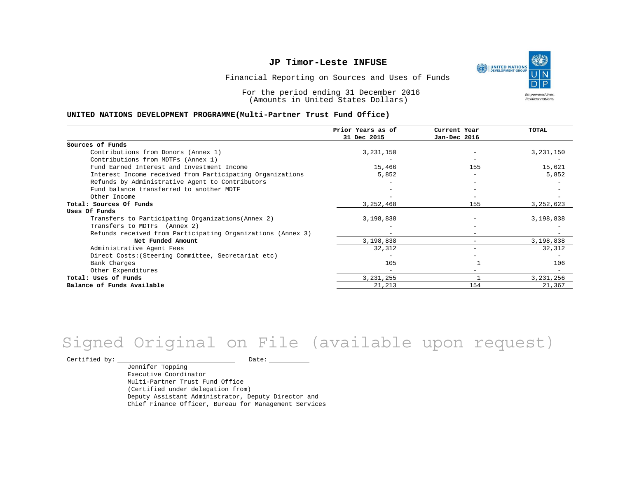UNITED NATIONS **Empowered lives** Resilient nations.

Financial Reporting on Sources and Uses of Funds

For the period ending 31 December 2016 (Amounts in United States Dollars)

#### **UNITED NATIONS DEVELOPMENT PROGRAMME(Multi-Partner Trust Fund Office)**

|                                                             | Prior Years as of<br>31 Dec 2015 | Current Year<br>Jan-Dec 2016 | <b>TOTAL</b> |
|-------------------------------------------------------------|----------------------------------|------------------------------|--------------|
|                                                             |                                  |                              |              |
| Sources of Funds                                            |                                  |                              |              |
| Contributions from Donors (Annex 1)                         | 3,231,150                        |                              | 3,231,150    |
| Contributions from MDTFs (Annex 1)                          |                                  |                              |              |
| Fund Earned Interest and Investment Income                  | 15,466                           | 155                          | 15,621       |
| Interest Income received from Participating Organizations   | 5,852                            | $\overline{\phantom{0}}$     | 5,852        |
| Refunds by Administrative Agent to Contributors             |                                  |                              |              |
| Fund balance transferred to another MDTF                    |                                  |                              |              |
| Other Income                                                |                                  | $\overline{\phantom{a}}$     |              |
| Total: Sources Of Funds                                     | 3,252,468                        | 155                          | 3, 252, 623  |
| Uses Of Funds                                               |                                  |                              |              |
| Transfers to Participating Organizations (Annex 2)          | 3,198,838                        |                              | 3,198,838    |
| Transfers to MDTFs (Annex 2)                                |                                  |                              |              |
| Refunds received from Participating Organizations (Annex 3) | $-$                              | -                            |              |
| Net Funded Amount                                           | 3,198,838                        |                              | 3,198,838    |
| Administrative Agent Fees                                   | 32,312                           | -                            | 32,312       |
| Direct Costs: (Steering Committee, Secretariat etc)         |                                  |                              |              |
| Bank Charges                                                | 105                              |                              | 106          |
| Other Expenditures                                          |                                  |                              |              |
| Total: Uses of Funds                                        | 3, 231, 255                      |                              | 3,231,256    |
| Balance of Funds Available                                  | 21, 213                          | 154                          | 21,367       |

## Signed Original on File (available upon request)

Certified by: Date:

Jennifer Topping Executive Coordinator Multi-Partner Trust Fund Office (Certified under delegation from) Deputy Assistant Administrator, Deputy Director and Chief Finance Officer, Bureau for Management Services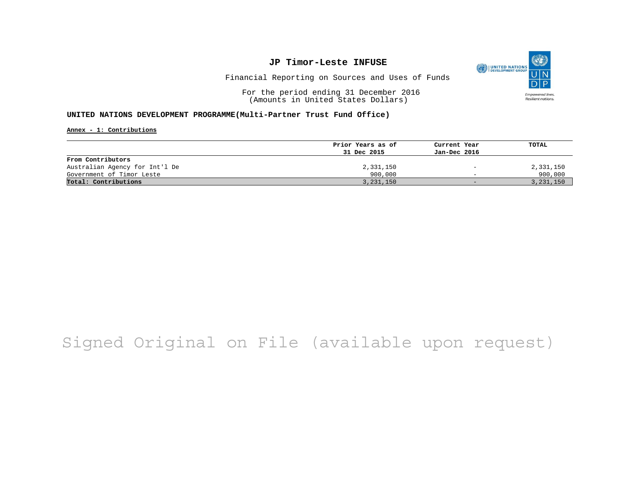

Financial Reporting on Sources and Uses of Funds

For the period ending 31 December 2016 (Amounts in United States Dollars)

#### **UNITED NATIONS DEVELOPMENT PROGRAMME(Multi-Partner Trust Fund Office)**

**Annex - 1: Contributions**

| Prior Years as of | Current Year             | TOTAL       |
|-------------------|--------------------------|-------------|
| 31 Dec 2015       | Jan-Dec 2016             |             |
|                   |                          |             |
| 2,331,150         | $\overline{\phantom{a}}$ | 2,331,150   |
| 900,000           | $\overline{\phantom{0}}$ | 900,000     |
| 3, 231, 150       | $-$                      | 3, 231, 150 |
|                   |                          |             |

# Signed Original on File (available upon request)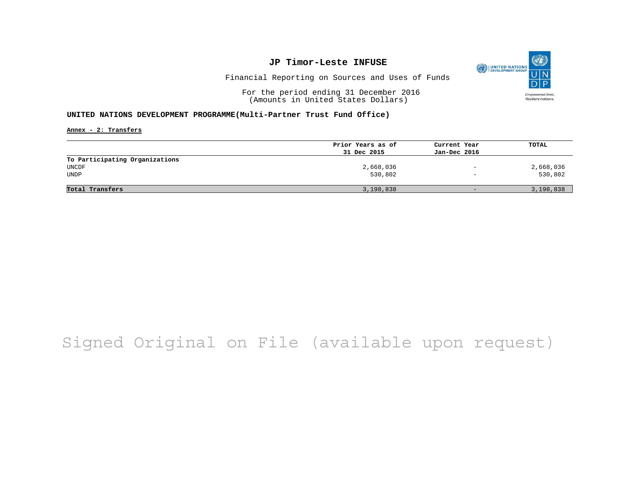

Financial Reporting on Sources and Uses of Funds

For the period ending 31 December 2016 (Amounts in United States Dollars)

#### **UNITED NATIONS DEVELOPMENT PROGRAMME(Multi-Partner Trust Fund Office)**

**Annex - 2: Transfers**

|                                | Prior Years as of | Current Year      | TOTAL     |
|--------------------------------|-------------------|-------------------|-----------|
|                                | 31 Dec 2015       | Jan-Dec 2016      |           |
| To Participating Organizations |                   |                   |           |
| UNCDF                          | 2,668,036         | $\qquad \qquad -$ | 2,668,036 |
| <b>UNDP</b>                    | 530,802           | $\qquad \qquad -$ | 530,802   |
|                                |                   |                   |           |
| Total Transfers                | 3,198,838         | $-$               | 3,198,838 |

# Signed Original on File (available upon request)